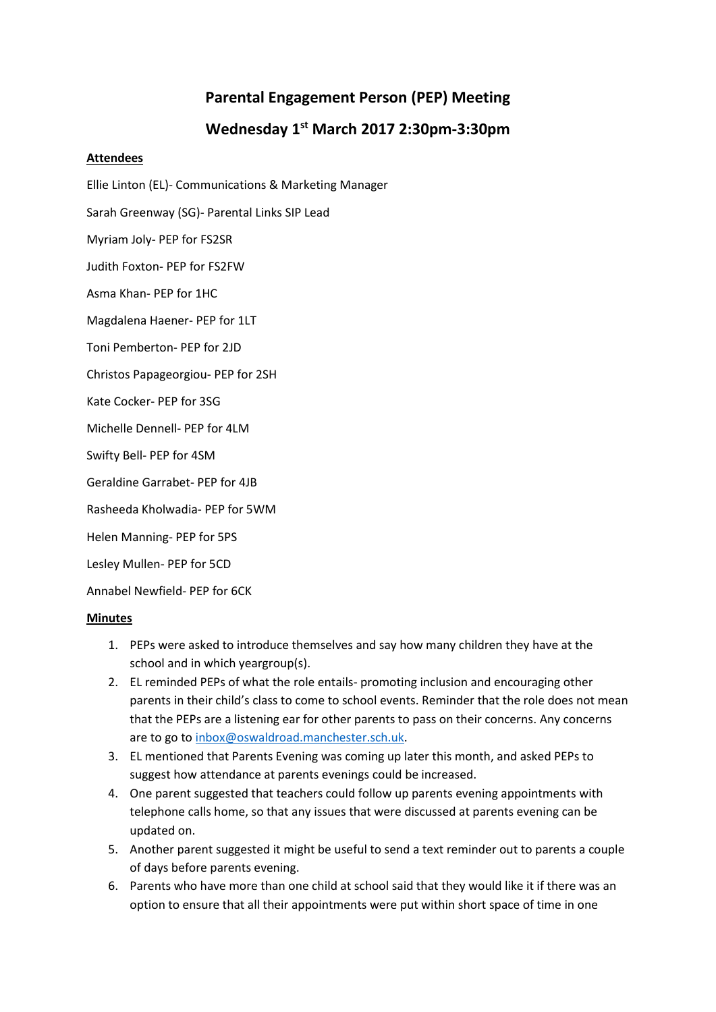## **Parental Engagement Person (PEP) Meeting Wednesday 1 st March 2017 2:30pm-3:30pm**

## **Attendees**

- Ellie Linton (EL)- Communications & Marketing Manager
- Sarah Greenway (SG)- Parental Links SIP Lead
- Myriam Joly- PEP for FS2SR
- Judith Foxton- PEP for FS2FW
- Asma Khan- PEP for 1HC
- Magdalena Haener- PEP for 1LT
- Toni Pemberton- PEP for 2JD
- Christos Papageorgiou- PEP for 2SH
- Kate Cocker- PEP for 3SG
- Michelle Dennell- PEP for 4LM
- Swifty Bell- PEP for 4SM
- Geraldine Garrabet- PEP for 4JB
- Rasheeda Kholwadia- PEP for 5WM
- Helen Manning- PEP for 5PS
- Lesley Mullen- PEP for 5CD
- Annabel Newfield- PEP for 6CK

## **Minutes**

- 1. PEPs were asked to introduce themselves and say how many children they have at the school and in which yeargroup(s).
- 2. EL reminded PEPs of what the role entails- promoting inclusion and encouraging other parents in their child's class to come to school events. Reminder that the role does not mean that the PEPs are a listening ear for other parents to pass on their concerns. Any concerns are to go t[o inbox@oswaldroad.manchester.sch.uk.](mailto:inbox@oswaldroad.manchester.sch.uk)
- 3. EL mentioned that Parents Evening was coming up later this month, and asked PEPs to suggest how attendance at parents evenings could be increased.
- 4. One parent suggested that teachers could follow up parents evening appointments with telephone calls home, so that any issues that were discussed at parents evening can be updated on.
- 5. Another parent suggested it might be useful to send a text reminder out to parents a couple of days before parents evening.
- 6. Parents who have more than one child at school said that they would like it if there was an option to ensure that all their appointments were put within short space of time in one